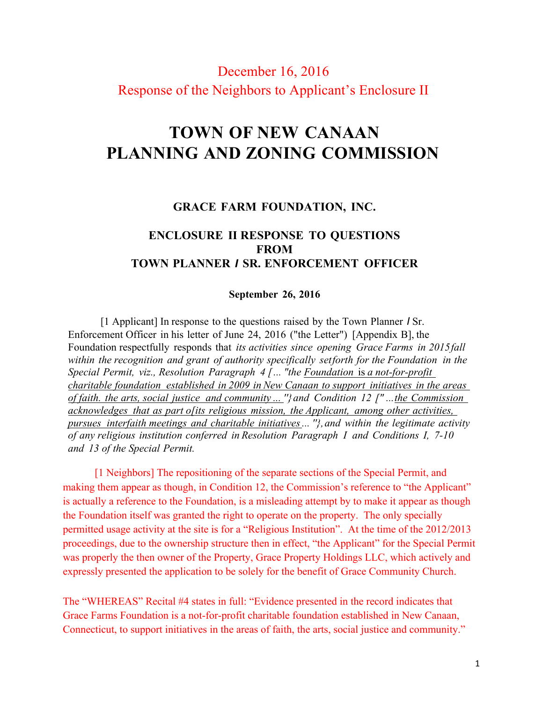## December 16, 2016 Response of the Neighbors to Applicant's Enclosure II

# **TOWN OF NEW CANAAN PLANNING AND ZONING COMMISSION**

#### **GRACE FARM FOUNDATION, INC.**

### **ENCLOSURE II RESPONSE TO QUESTIONS FROM TOWN PLANNER** *I* **SR. ENFORCEMENT OFFICER**

#### **September 26, 2016**

[1 Applicant] In response to the questions raised by the Town Planner *I* Sr. Enforcement Officer in his letter of June 24, 2016 ("the Letter") [Appendix B], the Foundation respectfully responds that *its activities since opening Grace Farms in 2015fall within the recognition and grant of authority specifically setforth for the Foundation in the Special Permit, viz., Resolution Paragraph 4 [... "the Foundation* is *a not-for-profit charitable foundation established in 2009 in New Canaan to support initiatives in the areas of faith. the arts, social justice and community ... ''}and Condition 12 [" ...the Commission acknowledges that as part o[its religious mission, the Applicant, among other activities, pursues interfaith meetings and charitable initiatives... ''},and within the legitimate activity of any religious institution conferred in Resolution Paragraph I and Conditions I, 7-10 and 13 of the Special Permit.*

[1 Neighbors] The repositioning of the separate sections of the Special Permit, and making them appear as though, in Condition 12, the Commission's reference to "the Applicant" is actually a reference to the Foundation, is a misleading attempt by to make it appear as though the Foundation itself was granted the right to operate on the property. The only specially permitted usage activity at the site is for a "Religious Institution". At the time of the 2012/2013 proceedings, due to the ownership structure then in effect, "the Applicant" for the Special Permit was properly the then owner of the Property, Grace Property Holdings LLC, which actively and expressly presented the application to be solely for the benefit of Grace Community Church.

The "WHEREAS" Recital #4 states in full: "Evidence presented in the record indicates that Grace Farms Foundation is a not-for-profit charitable foundation established in New Canaan, Connecticut, to support initiatives in the areas of faith, the arts, social justice and community."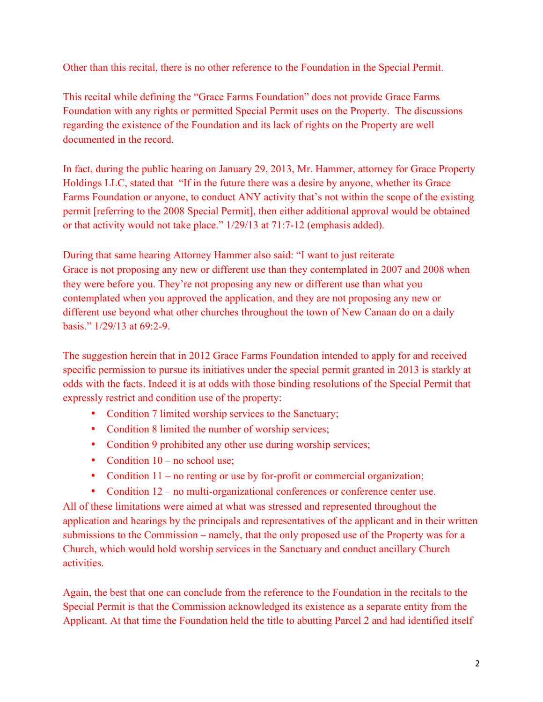Other than this recital, there is no other reference to the Foundation in the Special Permit.

This recital while defining the "Grace Farms Foundation" does not provide Grace Farms Foundation with any rights or permitted Special Permit uses on the Property. The discussions regarding the existence of the Foundation and its lack of rights on the Property are well documented in the record.

In fact, during the public hearing on January 29, 2013, Mr. Hammer, attorney for Grace Property Holdings LLC, stated that "If in the future there was a desire by anyone, whether its Grace Farms Foundation or anyone, to conduct ANY activity that's not within the scope of the existing permit [referring to the 2008 Special Permit], then either additional approval would be obtained or that activity would not take place." 1/29/13 at 71:7-12 (emphasis added).

During that same hearing Attorney Hammer also said: "I want to just reiterate Grace is not proposing any new or different use than they contemplated in 2007 and 2008 when they were before you. They're not proposing any new or different use than what you contemplated when you approved the application, and they are not proposing any new or different use beyond what other churches throughout the town of New Canaan do on a daily basis." 1/29/13 at 69:2-9.

The suggestion herein that in 2012 Grace Farms Foundation intended to apply for and received specific permission to pursue its initiatives under the special permit granted in 2013 is starkly at odds with the facts. Indeed it is at odds with those binding resolutions of the Special Permit that expressly restrict and condition use of the property:

- Condition 7 limited worship services to the Sanctuary;
- Condition 8 limited the number of worship services;
- Condition 9 prohibited any other use during worship services;
- Condition  $10 no$  school use;
- Condition 11 no renting or use by for-profit or commercial organization;
- Condition 12 no multi-organizational conferences or conference center use.

All of these limitations were aimed at what was stressed and represented throughout the application and hearings by the principals and representatives of the applicant and in their written submissions to the Commission – namely, that the only proposed use of the Property was for a Church, which would hold worship services in the Sanctuary and conduct ancillary Church activities.

Again, the best that one can conclude from the reference to the Foundation in the recitals to the Special Permit is that the Commission acknowledged its existence as a separate entity from the Applicant. At that time the Foundation held the title to abutting Parcel 2 and had identified itself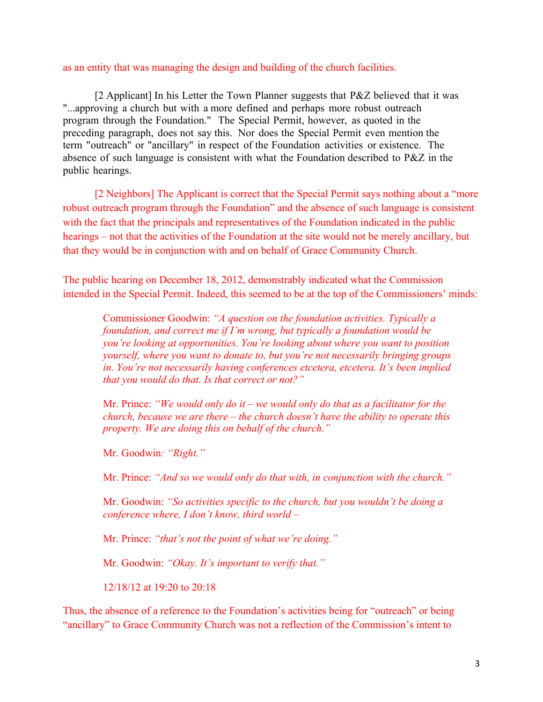#### as an entity that was managing the design and building of the church facilities.

[2 Applicant] In his Letter the Town Planner suggests that P&Z believed that it was "...approving a church but with a more defined and perhaps more robust outreach program through the Foundation." The Special Permit, however, as quoted in the preceding paragraph, does not say this. Nor does the Special Permit even mention the term "outreach" or "ancillary" in respect of the Foundation activities or existence. The absence of such language is consistent with what the Foundation described to P&Z in the public hearings.

[2 Neighbors] The Applicant is correct that the Special Permit says nothing about a "more robust outreach program through the Foundation" and the absence of such language is consistent with the fact that the principals and representatives of the Foundation indicated in the public hearings – not that the activities of the Foundation at the site would not be merely ancillary, but that they would be in conjunction with and on behalf of Grace Community Church.

The public hearing on December 18, 2012, demonstrably indicated what the Commission intended in the Special Permit. Indeed, this seemed to be at the top of the Commissioners' minds:

Commissioner Goodwin: *"A question on the foundation activities. Typically a foundation, and correct me if I'm wrong, but typically a foundation would be you're looking at opportunities. You're looking about where you want to position yourself, where you want to donate to, but you're not necessarily bringing groups in. You're not necessarily having conferences etcetera, etcetera. It's been implied that you would do that. Is that correct or not?"*

Mr. Prince: *"We would only do it – we would only do that as a facilitator for the church, because we are there – the church doesn't have the ability to operate this property. We are doing this on behalf of the church."*

Mr. Goodwin*: "Right."* 

Mr. Prince: *"And so we would only do that with, in conjunction with the church."*

Mr. Goodwin: *"So activities specific to the church, but you wouldn't be doing a conference where, I don't know, third world –*

Mr. Prince: *"that's not the point of what we're doing."*

Mr. Goodwin: *"Okay. It's important to verify that."*

12/18/12 at 19:20 to 20:18

Thus, the absence of a reference to the Foundation's activities being for "outreach" or being "ancillary" to Grace Community Church was not a reflection of the Commission's intent to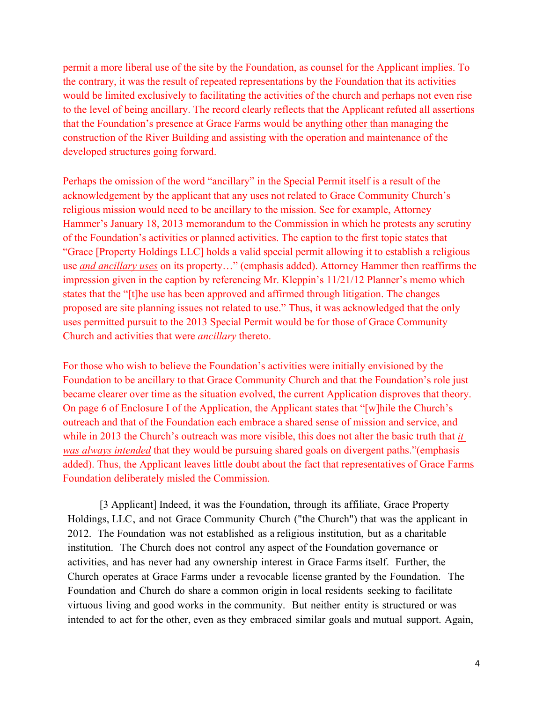permit a more liberal use of the site by the Foundation, as counsel for the Applicant implies. To the contrary, it was the result of repeated representations by the Foundation that its activities would be limited exclusively to facilitating the activities of the church and perhaps not even rise to the level of being ancillary. The record clearly reflects that the Applicant refuted all assertions that the Foundation's presence at Grace Farms would be anything other than managing the construction of the River Building and assisting with the operation and maintenance of the developed structures going forward.

Perhaps the omission of the word "ancillary" in the Special Permit itself is a result of the acknowledgement by the applicant that any uses not related to Grace Community Church's religious mission would need to be ancillary to the mission. See for example, Attorney Hammer's January 18, 2013 memorandum to the Commission in which he protests any scrutiny of the Foundation's activities or planned activities. The caption to the first topic states that "Grace [Property Holdings LLC] holds a valid special permit allowing it to establish a religious use *and ancillary uses* on its property…" (emphasis added). Attorney Hammer then reaffirms the impression given in the caption by referencing Mr. Kleppin's 11/21/12 Planner's memo which states that the "[t]he use has been approved and affirmed through litigation. The changes proposed are site planning issues not related to use." Thus, it was acknowledged that the only uses permitted pursuit to the 2013 Special Permit would be for those of Grace Community Church and activities that were *ancillary* thereto.

For those who wish to believe the Foundation's activities were initially envisioned by the Foundation to be ancillary to that Grace Community Church and that the Foundation's role just became clearer over time as the situation evolved, the current Application disproves that theory. On page 6 of Enclosure I of the Application, the Applicant states that "[w]hile the Church's outreach and that of the Foundation each embrace a shared sense of mission and service, and while in 2013 the Church's outreach was more visible, this does not alter the basic truth that *it was always intended* that they would be pursuing shared goals on divergent paths."(emphasis added). Thus, the Applicant leaves little doubt about the fact that representatives of Grace Farms Foundation deliberately misled the Commission.

[3 Applicant] Indeed, it was the Foundation, through its affiliate, Grace Property Holdings, LLC, and not Grace Community Church ("the Church") that was the applicant in 2012. The Foundation was not established as a religious institution, but as a charitable institution. The Church does not control any aspect of the Foundation governance or activities, and has never had any ownership interest in Grace Farms itself. Further, the Church operates at Grace Farms under a revocable license granted by the Foundation. The Foundation and Church do share a common origin in local residents seeking to facilitate virtuous living and good works in the community. But neither entity is structured or was intended to act for the other, even as they embraced similar goals and mutual support. Again,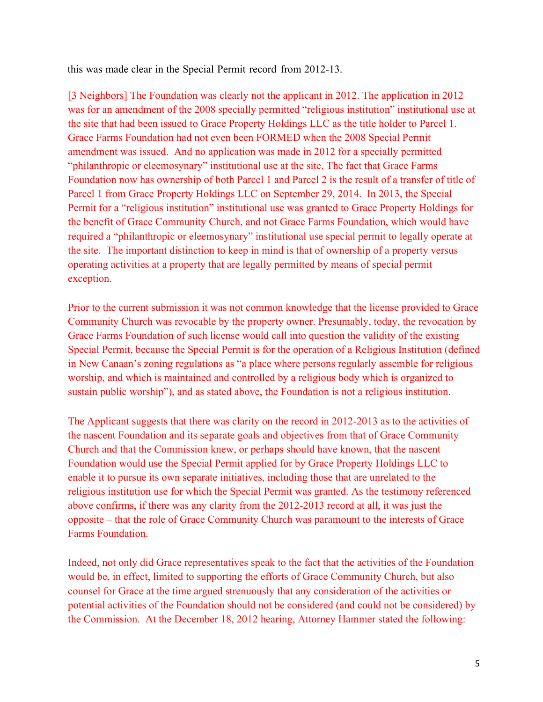this was made clear in the Special Permit record from 2012-13.

[3 Neighbors] The Foundation was clearly not the applicant in 2012. The application in 2012 was for an amendment of the 2008 specially permitted "religious institution" institutional use at the site that had been issued to Grace Property Holdings LLC as the title holder to Parcel 1. Grace Farms Foundation had not even been FORMED when the 2008 Special Permit amendment was issued. And no application was made in 2012 for a specially permitted "philanthropic or eleemosynary" institutional use at the site. The fact that Grace Farms Foundation now has ownership of both Parcel 1 and Parcel 2 is the result of a transfer of title of Parcel 1 from Grace Property Holdings LLC on September 29, 2014. In 2013, the Special Permit for a "religious institution" institutional use was granted to Grace Property Holdings for the benefit of Grace Community Church, and not Grace Farms Foundation, which would have required a "philanthropic or eleemosynary" institutional use special permit to legally operate at the site. The important distinction to keep in mind is that of ownership of a property versus operating activities at a property that are legally permitted by means of special permit exception.

Prior to the current submission it was not common knowledge that the license provided to Grace Community Church was revocable by the property owner. Presumably, today, the revocation by Grace Farms Foundation of such license would call into question the validity of the existing Special Permit, because the Special Permit is for the operation of a Religious Institution (defined in New Canaan's zoning regulations as "a place where persons regularly assemble for religious worship, and which is maintained and controlled by a religious body which is organized to sustain public worship"), and as stated above, the Foundation is not a religious institution.

The Applicant suggests that there was clarity on the record in 2012-2013 as to the activities of the nascent Foundation and its separate goals and objectives from that of Grace Community Church and that the Commission knew, or perhaps should have known, that the nascent Foundation would use the Special Permit applied for by Grace Property Holdings LLC to enable it to pursue its own separate initiatives, including those that are unrelated to the religious institution use for which the Special Permit was granted. As the testimony referenced above confirms, if there was any clarity from the 2012-2013 record at all, it was just the opposite – that the role of Grace Community Church was paramount to the interests of Grace Farms Foundation.

Indeed, not only did Grace representatives speak to the fact that the activities of the Foundation would be, in effect, limited to supporting the efforts of Grace Community Church, but also counsel for Grace at the time argued strenuously that any consideration of the activities or potential activities of the Foundation should not be considered (and could not be considered) by the Commission. At the December 18, 2012 hearing, Attorney Hammer stated the following: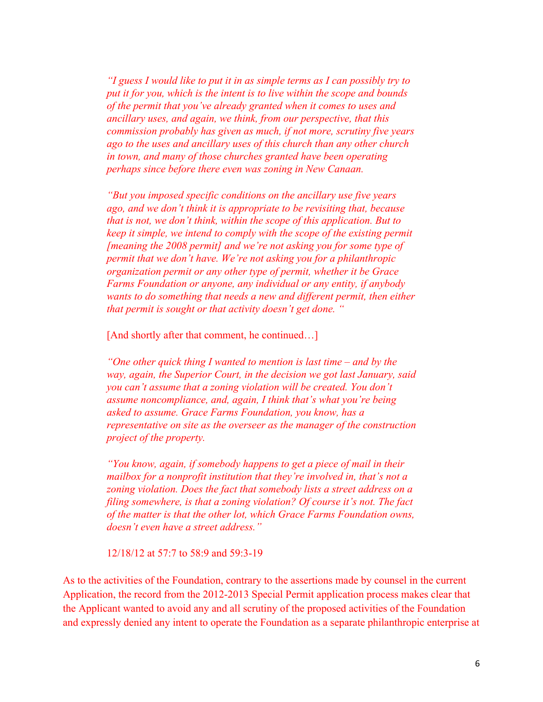*"I guess I would like to put it in as simple terms as I can possibly try to put it for you, which is the intent is to live within the scope and bounds of the permit that you've already granted when it comes to uses and ancillary uses, and again, we think, from our perspective, that this commission probably has given as much, if not more, scrutiny five years ago to the uses and ancillary uses of this church than any other church in town, and many of those churches granted have been operating perhaps since before there even was zoning in New Canaan.*

*"But you imposed specific conditions on the ancillary use five years ago, and we don't think it is appropriate to be revisiting that, because that is not, we don't think, within the scope of this application. But to keep it simple, we intend to comply with the scope of the existing permit [meaning the 2008 permit] and we're not asking you for some type of permit that we don't have. We're not asking you for a philanthropic organization permit or any other type of permit, whether it be Grace Farms Foundation or anyone, any individual or any entity, if anybody wants to do something that needs a new and different permit, then either that permit is sought or that activity doesn't get done. "*

[And shortly after that comment, he continued...]

*"One other quick thing I wanted to mention is last time – and by the way, again, the Superior Court, in the decision we got last January, said you can't assume that a zoning violation will be created. You don't assume noncompliance, and, again, I think that's what you're being asked to assume. Grace Farms Foundation, you know, has a representative on site as the overseer as the manager of the construction project of the property.*

*"You know, again, if somebody happens to get a piece of mail in their mailbox for a nonprofit institution that they're involved in, that's not a zoning violation. Does the fact that somebody lists a street address on a filing somewhere, is that a zoning violation? Of course it's not. The fact of the matter is that the other lot, which Grace Farms Foundation owns, doesn't even have a street address."* 

12/18/12 at 57:7 to 58:9 and 59:3-19

As to the activities of the Foundation, contrary to the assertions made by counsel in the current Application, the record from the 2012-2013 Special Permit application process makes clear that the Applicant wanted to avoid any and all scrutiny of the proposed activities of the Foundation and expressly denied any intent to operate the Foundation as a separate philanthropic enterprise at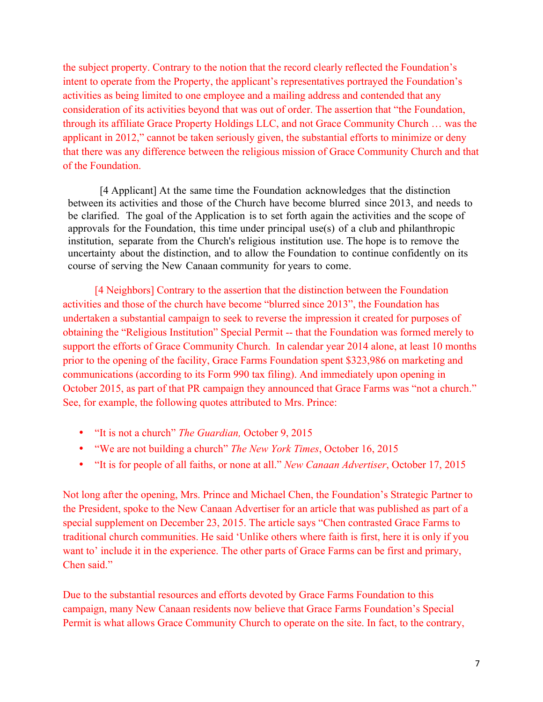the subject property. Contrary to the notion that the record clearly reflected the Foundation's intent to operate from the Property, the applicant's representatives portrayed the Foundation's activities as being limited to one employee and a mailing address and contended that any consideration of its activities beyond that was out of order. The assertion that "the Foundation, through its affiliate Grace Property Holdings LLC, and not Grace Community Church … was the applicant in 2012," cannot be taken seriously given, the substantial efforts to minimize or deny that there was any difference between the religious mission of Grace Community Church and that of the Foundation.

[4 Applicant] At the same time the Foundation acknowledges that the distinction between its activities and those of the Church have become blurred since 2013, and needs to be clarified. The goal of the Application is to set forth again the activities and the scope of approvals for the Foundation, this time under principal use(s) of a club and philanthropic institution, separate from the Church's religious institution use. The hope is to remove the uncertainty about the distinction, and to allow the Foundation to continue confidently on its course of serving the New Canaan community for years to come.

[4 Neighbors] Contrary to the assertion that the distinction between the Foundation activities and those of the church have become "blurred since 2013", the Foundation has undertaken a substantial campaign to seek to reverse the impression it created for purposes of obtaining the "Religious Institution" Special Permit -- that the Foundation was formed merely to support the efforts of Grace Community Church. In calendar year 2014 alone, at least 10 months prior to the opening of the facility, Grace Farms Foundation spent \$323,986 on marketing and communications (according to its Form 990 tax filing). And immediately upon opening in October 2015, as part of that PR campaign they announced that Grace Farms was "not a church." See, for example, the following quotes attributed to Mrs. Prince:

- "It is not a church" *The Guardian,* October 9, 2015
- "We are not building a church" *The New York Times*, October 16, 2015
- "It is for people of all faiths, or none at all." *New Canaan Advertiser*, October 17, 2015

Not long after the opening, Mrs. Prince and Michael Chen, the Foundation's Strategic Partner to the President, spoke to the New Canaan Advertiser for an article that was published as part of a special supplement on December 23, 2015. The article says "Chen contrasted Grace Farms to traditional church communities. He said 'Unlike others where faith is first, here it is only if you want to' include it in the experience. The other parts of Grace Farms can be first and primary, Chen said."

Due to the substantial resources and efforts devoted by Grace Farms Foundation to this campaign, many New Canaan residents now believe that Grace Farms Foundation's Special Permit is what allows Grace Community Church to operate on the site. In fact, to the contrary,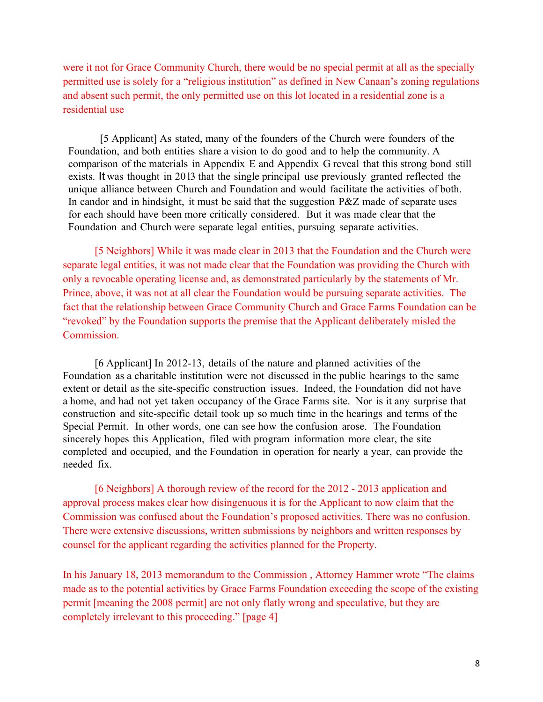were it not for Grace Community Church, there would be no special permit at all as the specially permitted use is solely for a "religious institution" as defined in New Canaan's zoning regulations and absent such permit, the only permitted use on this lot located in a residential zone is a residential use

[5 Applicant] As stated, many of the founders of the Church were founders of the Foundation, and both entities share a vision to do good and to help the community. A comparison of the materials in Appendix E and Appendix G reveal that this strong bond still exists. It was thought in 20 l3 that the single principal use previously granted reflected the unique alliance between Church and Foundation and would facilitate the activities of both. In candor and in hindsight, it must be said that the suggestion P&Z made of separate uses for each should have been more critically considered. But it was made clear that the Foundation and Church were separate legal entities, pursuing separate activities.

[5 Neighbors] While it was made clear in 2013 that the Foundation and the Church were separate legal entities, it was not made clear that the Foundation was providing the Church with only a revocable operating license and, as demonstrated particularly by the statements of Mr. Prince, above, it was not at all clear the Foundation would be pursuing separate activities. The fact that the relationship between Grace Community Church and Grace Farms Foundation can be "revoked" by the Foundation supports the premise that the Applicant deliberately misled the Commission.

[6 Applicant] In 2012-13, details of the nature and planned activities of the Foundation as a charitable institution were not discussed in the public hearings to the same extent or detail as the site-specific construction issues. Indeed, the Foundation did not have a home, and had not yet taken occupancy of the Grace Farms site. Nor is it any surprise that construction and site-specific detail took up so much time in the hearings and terms of the Special Permit. In other words, one can see how the confusion arose. The Foundation sincerely hopes this Application, filed with program information more clear, the site completed and occupied, and the Foundation in operation for nearly a year, can provide the needed fix.

[6 Neighbors] A thorough review of the record for the 2012 - 2013 application and approval process makes clear how disingenuous it is for the Applicant to now claim that the Commission was confused about the Foundation's proposed activities. There was no confusion. There were extensive discussions, written submissions by neighbors and written responses by counsel for the applicant regarding the activities planned for the Property.

In his January 18, 2013 memorandum to the Commission , Attorney Hammer wrote "The claims made as to the potential activities by Grace Farms Foundation exceeding the scope of the existing permit [meaning the 2008 permit] are not only flatly wrong and speculative, but they are completely irrelevant to this proceeding." [page 4]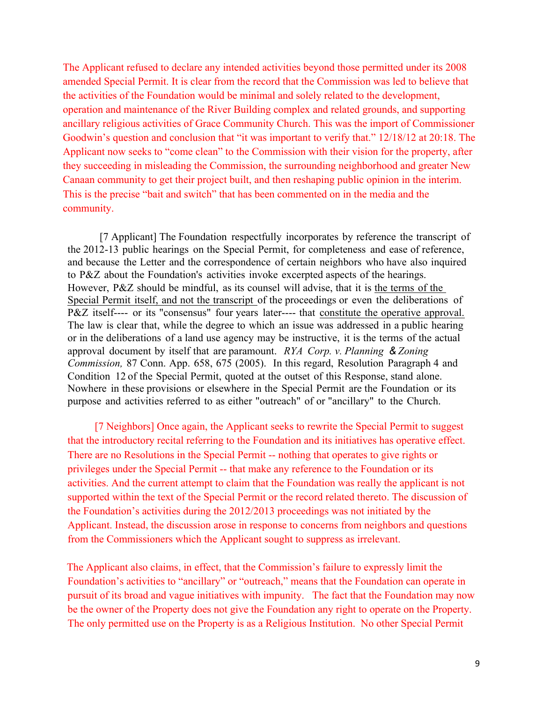The Applicant refused to declare any intended activities beyond those permitted under its 2008 amended Special Permit. It is clear from the record that the Commission was led to believe that the activities of the Foundation would be minimal and solely related to the development, operation and maintenance of the River Building complex and related grounds, and supporting ancillary religious activities of Grace Community Church. This was the import of Commissioner Goodwin's question and conclusion that "it was important to verify that." 12/18/12 at 20:18. The Applicant now seeks to "come clean" to the Commission with their vision for the property, after they succeeding in misleading the Commission, the surrounding neighborhood and greater New Canaan community to get their project built, and then reshaping public opinion in the interim. This is the precise "bait and switch" that has been commented on in the media and the community.

[7 Applicant] The Foundation respectfully incorporates by reference the transcript of the 2012-13 public hearings on the Special Permit, for completeness and ease of reference, and because the Letter and the correspondence of certain neighbors who have also inquired to P&Z about the Foundation's activities invoke excerpted aspects of the hearings. However, P&Z should be mindful, as its counsel will advise, that it is the terms of the Special Permit itself, and not the transcript of the proceedings or even the deliberations of P&Z itself---- or its "consensus" four years later---- that constitute the operative approval. The law is clear that, while the degree to which an issue was addressed in a public hearing or in the deliberations of a land use agency may be instructive, it is the terms of the actual approval document by itself that are paramount. *RYA Corp. v. Planning & Zoning Commission,* 87 Conn. App. 658, 675 (2005). In this regard, Resolution Paragraph 4 and Condition 12 of the Special Permit, quoted at the outset of this Response, stand alone. Nowhere in these provisions or elsewhere in the Special Permit are the Foundation or its purpose and activities referred to as either "outreach" of or "ancillary" to the Church.

[7 Neighbors] Once again, the Applicant seeks to rewrite the Special Permit to suggest that the introductory recital referring to the Foundation and its initiatives has operative effect. There are no Resolutions in the Special Permit -- nothing that operates to give rights or privileges under the Special Permit -- that make any reference to the Foundation or its activities. And the current attempt to claim that the Foundation was really the applicant is not supported within the text of the Special Permit or the record related thereto. The discussion of the Foundation's activities during the 2012/2013 proceedings was not initiated by the Applicant. Instead, the discussion arose in response to concerns from neighbors and questions from the Commissioners which the Applicant sought to suppress as irrelevant.

The Applicant also claims, in effect, that the Commission's failure to expressly limit the Foundation's activities to "ancillary" or "outreach," means that the Foundation can operate in pursuit of its broad and vague initiatives with impunity. The fact that the Foundation may now be the owner of the Property does not give the Foundation any right to operate on the Property. The only permitted use on the Property is as a Religious Institution. No other Special Permit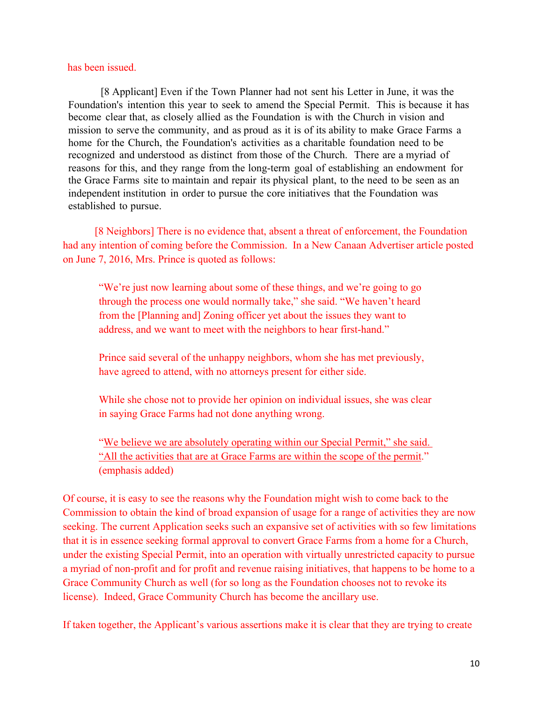#### has been issued.

[8 Applicant] Even if the Town Planner had not sent his Letter in June, it was the Foundation's intention this year to seek to amend the Special Permit. This is because it has become clear that, as closely allied as the Foundation is with the Church in vision and mission to serve the community, and as proud as it is of its ability to make Grace Farms a home for the Church, the Foundation's activities as a charitable foundation need to be recognized and understood as distinct from those of the Church. There are a myriad of reasons for this, and they range from the long-term goal of establishing an endowment for the Grace Farms site to maintain and repair its physical plant, to the need to be seen as an independent institution in order to pursue the core initiatives that the Foundation was established to pursue.

[8 Neighbors] There is no evidence that, absent a threat of enforcement, the Foundation had any intention of coming before the Commission. In a New Canaan Advertiser article posted on June 7, 2016, Mrs. Prince is quoted as follows:

"We're just now learning about some of these things, and we're going to go through the process one would normally take," she said. "We haven't heard from the [Planning and] Zoning officer yet about the issues they want to address, and we want to meet with the neighbors to hear first-hand."

Prince said several of the unhappy neighbors, whom she has met previously, have agreed to attend, with no attorneys present for either side.

While she chose not to provide her opinion on individual issues, she was clear in saying Grace Farms had not done anything wrong.

"We believe we are absolutely operating within our Special Permit," she said. "All the activities that are at Grace Farms are within the scope of the permit." (emphasis added)

Of course, it is easy to see the reasons why the Foundation might wish to come back to the Commission to obtain the kind of broad expansion of usage for a range of activities they are now seeking. The current Application seeks such an expansive set of activities with so few limitations that it is in essence seeking formal approval to convert Grace Farms from a home for a Church, under the existing Special Permit, into an operation with virtually unrestricted capacity to pursue a myriad of non-profit and for profit and revenue raising initiatives, that happens to be home to a Grace Community Church as well (for so long as the Foundation chooses not to revoke its license). Indeed, Grace Community Church has become the ancillary use.

If taken together, the Applicant's various assertions make it is clear that they are trying to create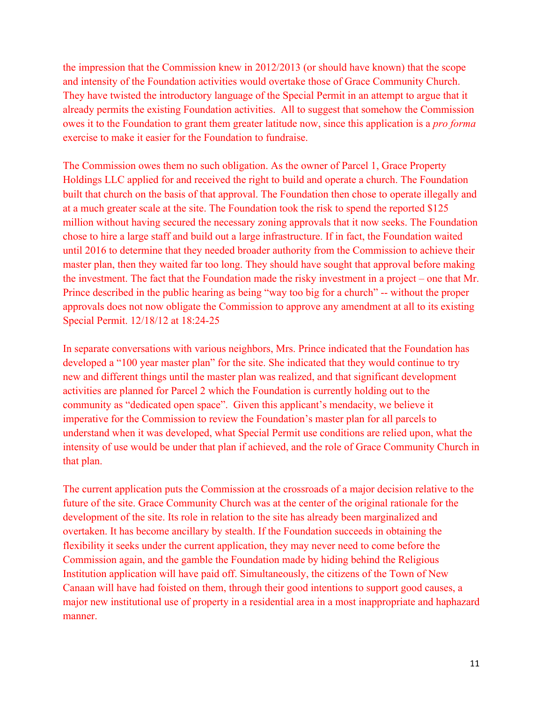the impression that the Commission knew in 2012/2013 (or should have known) that the scope and intensity of the Foundation activities would overtake those of Grace Community Church. They have twisted the introductory language of the Special Permit in an attempt to argue that it already permits the existing Foundation activities. All to suggest that somehow the Commission owes it to the Foundation to grant them greater latitude now, since this application is a *pro forma* exercise to make it easier for the Foundation to fundraise.

The Commission owes them no such obligation. As the owner of Parcel 1, Grace Property Holdings LLC applied for and received the right to build and operate a church. The Foundation built that church on the basis of that approval. The Foundation then chose to operate illegally and at a much greater scale at the site. The Foundation took the risk to spend the reported \$125 million without having secured the necessary zoning approvals that it now seeks. The Foundation chose to hire a large staff and build out a large infrastructure. If in fact, the Foundation waited until 2016 to determine that they needed broader authority from the Commission to achieve their master plan, then they waited far too long. They should have sought that approval before making the investment. The fact that the Foundation made the risky investment in a project – one that Mr. Prince described in the public hearing as being "way too big for a church" -- without the proper approvals does not now obligate the Commission to approve any amendment at all to its existing Special Permit. 12/18/12 at 18:24-25

In separate conversations with various neighbors, Mrs. Prince indicated that the Foundation has developed a "100 year master plan" for the site. She indicated that they would continue to try new and different things until the master plan was realized, and that significant development activities are planned for Parcel 2 which the Foundation is currently holding out to the community as "dedicated open space". Given this applicant's mendacity, we believe it imperative for the Commission to review the Foundation's master plan for all parcels to understand when it was developed, what Special Permit use conditions are relied upon, what the intensity of use would be under that plan if achieved, and the role of Grace Community Church in that plan.

The current application puts the Commission at the crossroads of a major decision relative to the future of the site. Grace Community Church was at the center of the original rationale for the development of the site. Its role in relation to the site has already been marginalized and overtaken. It has become ancillary by stealth. If the Foundation succeeds in obtaining the flexibility it seeks under the current application, they may never need to come before the Commission again, and the gamble the Foundation made by hiding behind the Religious Institution application will have paid off. Simultaneously, the citizens of the Town of New Canaan will have had foisted on them, through their good intentions to support good causes, a major new institutional use of property in a residential area in a most inappropriate and haphazard manner.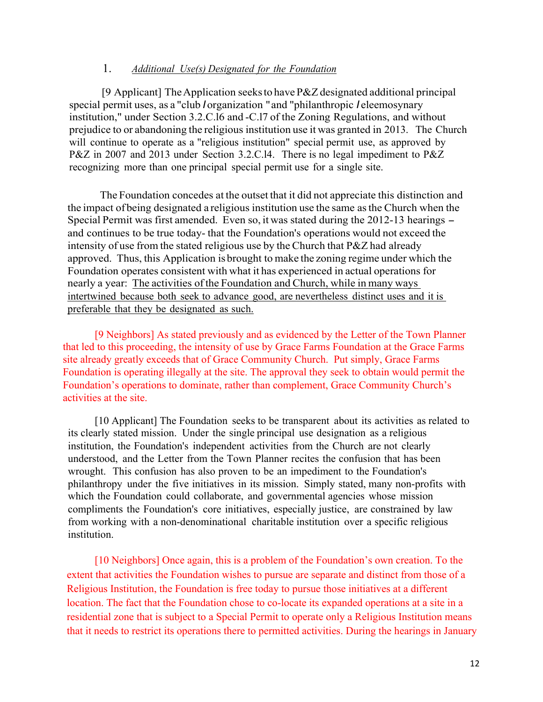#### 1. *Additional Use(s) Designated for the Foundation*

[9 Applicant] The Application seeks to have  $P\&Z$  designated additional principal special permit uses, as a "club *I* organization "and "philanthropic *I* eleemosynary institution," under Section 3.2.C.l6 and -C.l7 of the Zoning Regulations, and without prejudice to or abandoning the religious institution use it was granted in 2013. The Church will continue to operate as a "religious institution" special permit use, as approved by P&Z in 2007 and 2013 under Section 3.2.C.l4. There is no legal impediment to P&Z recognizing more than one principal special permit use for a single site.

The Foundation concedes at the outset that it did not appreciate this distinction and the impact of being designated a religious institution use the same asthe Church when the Special Permit was first amended. Even so, it was stated during the 2012-13 hearings and continues to be true today- that the Foundation's operations would not exceed the intensity of use from the stated religious use by the Church that P&Z had already approved. Thus, this Application is brought to make the zoning regime under which the Foundation operates consistent with what it has experienced in actual operations for nearly a year: The activities ofthe Foundation and Church, while in many ways intertwined because both seek to advance good, are nevertheless distinct uses and it is preferable that they be designated as such.

[9 Neighbors] As stated previously and as evidenced by the Letter of the Town Planner that led to this proceeding, the intensity of use by Grace Farms Foundation at the Grace Farms site already greatly exceeds that of Grace Community Church. Put simply, Grace Farms Foundation is operating illegally at the site. The approval they seek to obtain would permit the Foundation's operations to dominate, rather than complement, Grace Community Church's activities at the site.

[10 Applicant] The Foundation seeks to be transparent about its activities as related to its clearly stated mission. Under the single principal use designation as a religious institution, the Foundation's independent activities from the Church are not clearly understood, and the Letter from the Town Planner recites the confusion that has been wrought. This confusion has also proven to be an impediment to the Foundation's philanthropy under the five initiatives in its mission. Simply stated, many non-profits with which the Foundation could collaborate, and governmental agencies whose mission compliments the Foundation's core initiatives, especially justice, are constrained by law from working with a non-denominational charitable institution over a specific religious institution.

[10 Neighbors] Once again, this is a problem of the Foundation's own creation. To the extent that activities the Foundation wishes to pursue are separate and distinct from those of a Religious Institution, the Foundation is free today to pursue those initiatives at a different location. The fact that the Foundation chose to co-locate its expanded operations at a site in a residential zone that is subject to a Special Permit to operate only a Religious Institution means that it needs to restrict its operations there to permitted activities. During the hearings in January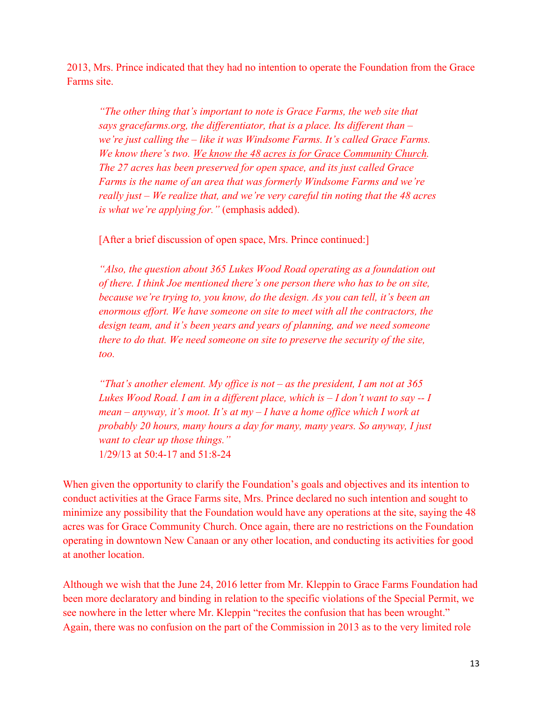2013, Mrs. Prince indicated that they had no intention to operate the Foundation from the Grace Farms site.

*"The other thing that's important to note is Grace Farms, the web site that says gracefarms.org, the differentiator, that is a place. Its different than – we're just calling the – like it was Windsome Farms. It's called Grace Farms. We know there's two. We know the 48 acres is for Grace Community Church. The 27 acres has been preserved for open space, and its just called Grace Farms is the name of an area that was formerly Windsome Farms and we're really just – We realize that, and we're very careful tin noting that the 48 acres is what we're applying for."* (emphasis added).

[After a brief discussion of open space, Mrs. Prince continued:]

*"Also, the question about 365 Lukes Wood Road operating as a foundation out of there. I think Joe mentioned there's one person there who has to be on site, because we're trying to, you know, do the design. As you can tell, it's been an enormous effort. We have someone on site to meet with all the contractors, the design team, and it's been years and years of planning, and we need someone there to do that. We need someone on site to preserve the security of the site, too.*

*"That's another element. My office is not – as the president, I am not at 365 Lukes Wood Road. I am in a different place, which is – I don't want to say -- I mean – anyway, it's moot. It's at my – I have a home office which I work at probably 20 hours, many hours a day for many, many years. So anyway, I just want to clear up those things."* 1/29/13 at 50:4-17 and 51:8-24

When given the opportunity to clarify the Foundation's goals and objectives and its intention to conduct activities at the Grace Farms site, Mrs. Prince declared no such intention and sought to minimize any possibility that the Foundation would have any operations at the site, saying the 48 acres was for Grace Community Church. Once again, there are no restrictions on the Foundation operating in downtown New Canaan or any other location, and conducting its activities for good at another location.

Although we wish that the June 24, 2016 letter from Mr. Kleppin to Grace Farms Foundation had been more declaratory and binding in relation to the specific violations of the Special Permit, we see nowhere in the letter where Mr. Kleppin "recites the confusion that has been wrought." Again, there was no confusion on the part of the Commission in 2013 as to the very limited role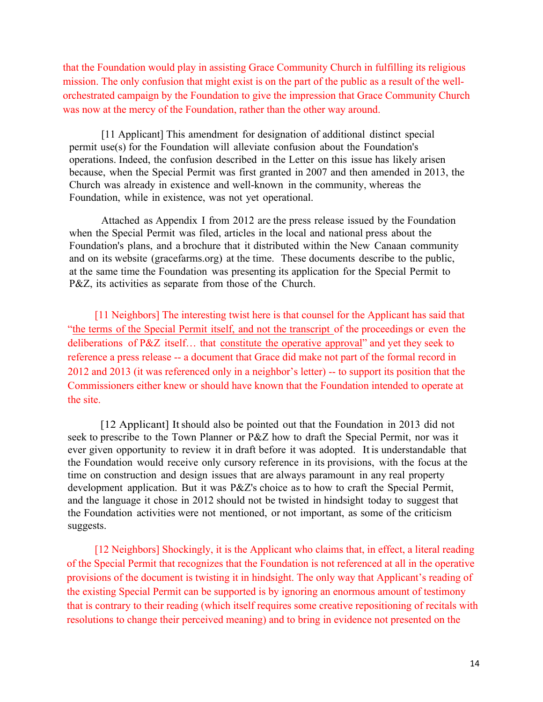that the Foundation would play in assisting Grace Community Church in fulfilling its religious mission. The only confusion that might exist is on the part of the public as a result of the wellorchestrated campaign by the Foundation to give the impression that Grace Community Church was now at the mercy of the Foundation, rather than the other way around.

[11 Applicant] This amendment for designation of additional distinct special permit use(s) for the Foundation will alleviate confusion about the Foundation's operations. Indeed, the confusion described in the Letter on this issue has likely arisen because, when the Special Permit was first granted in 2007 and then amended in 2013, the Church was already in existence and well-known in the community, whereas the Foundation, while in existence, was not yet operational.

Attached as Appendix I from 2012 are the press release issued by the Foundation when the Special Permit was filed, articles in the local and national press about the Foundation's plans, and a brochure that it distributed within the New Canaan community and on its website (gracefarms.org) at the time. These documents describe to the public, at the same time the Foundation was presenting its application for the Special Permit to P&Z, its activities as separate from those of the Church.

[11 Neighbors] The interesting twist here is that counsel for the Applicant has said that "the terms of the Special Permit itself, and not the transcript of the proceedings or even the deliberations of P&Z itself… that constitute the operative approval" and yet they seek to reference a press release -- a document that Grace did make not part of the formal record in 2012 and 2013 (it was referenced only in a neighbor's letter) -- to support its position that the Commissioners either knew or should have known that the Foundation intended to operate at the site.

[12 Applicant] It should also be pointed out that the Foundation in 2013 did not seek to prescribe to the Town Planner or P&Z how to draft the Special Permit, nor was it ever given opportunity to review it in draft before it was adopted. Itis understandable that the Foundation would receive only cursory reference in its provisions, with the focus at the time on construction and design issues that are always paramount in any real property development application. But it was P&Z's choice as to how to craft the Special Permit, and the language it chose in 2012 should not be twisted in hindsight today to suggest that the Foundation activities were not mentioned, or not important, as some of the criticism suggests.

[12 Neighbors] Shockingly, it is the Applicant who claims that, in effect, a literal reading of the Special Permit that recognizes that the Foundation is not referenced at all in the operative provisions of the document is twisting it in hindsight. The only way that Applicant's reading of the existing Special Permit can be supported is by ignoring an enormous amount of testimony that is contrary to their reading (which itself requires some creative repositioning of recitals with resolutions to change their perceived meaning) and to bring in evidence not presented on the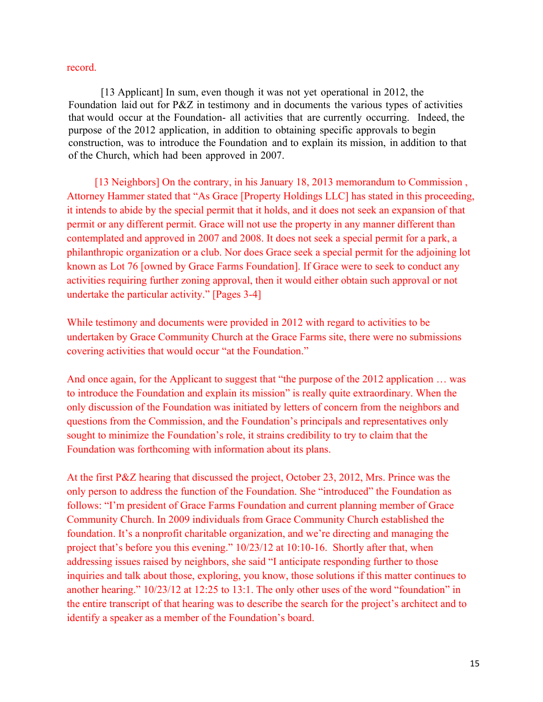#### record.

[13 Applicant] In sum, even though it was not yet operational in 2012, the Foundation laid out for P&Z in testimony and in documents the various types of activities that would occur at the Foundation- all activities that are currently occurring. Indeed, the purpose of the 2012 application, in addition to obtaining specific approvals to begin construction, was to introduce the Foundation and to explain its mission, in addition to that of the Church, which had been approved in 2007.

[13 Neighbors] On the contrary, in his January 18, 2013 memorandum to Commission , Attorney Hammer stated that "As Grace [Property Holdings LLC] has stated in this proceeding, it intends to abide by the special permit that it holds, and it does not seek an expansion of that permit or any different permit. Grace will not use the property in any manner different than contemplated and approved in 2007 and 2008. It does not seek a special permit for a park, a philanthropic organization or a club. Nor does Grace seek a special permit for the adjoining lot known as Lot 76 [owned by Grace Farms Foundation]. If Grace were to seek to conduct any activities requiring further zoning approval, then it would either obtain such approval or not undertake the particular activity." [Pages 3-4]

While testimony and documents were provided in 2012 with regard to activities to be undertaken by Grace Community Church at the Grace Farms site, there were no submissions covering activities that would occur "at the Foundation."

And once again, for the Applicant to suggest that "the purpose of the 2012 application ... was to introduce the Foundation and explain its mission" is really quite extraordinary. When the only discussion of the Foundation was initiated by letters of concern from the neighbors and questions from the Commission, and the Foundation's principals and representatives only sought to minimize the Foundation's role, it strains credibility to try to claim that the Foundation was forthcoming with information about its plans.

At the first P&Z hearing that discussed the project, October 23, 2012, Mrs. Prince was the only person to address the function of the Foundation. She "introduced" the Foundation as follows: "I'm president of Grace Farms Foundation and current planning member of Grace Community Church. In 2009 individuals from Grace Community Church established the foundation. It's a nonprofit charitable organization, and we're directing and managing the project that's before you this evening." 10/23/12 at 10:10-16. Shortly after that, when addressing issues raised by neighbors, she said "I anticipate responding further to those inquiries and talk about those, exploring, you know, those solutions if this matter continues to another hearing." 10/23/12 at 12:25 to 13:1. The only other uses of the word "foundation" in the entire transcript of that hearing was to describe the search for the project's architect and to identify a speaker as a member of the Foundation's board.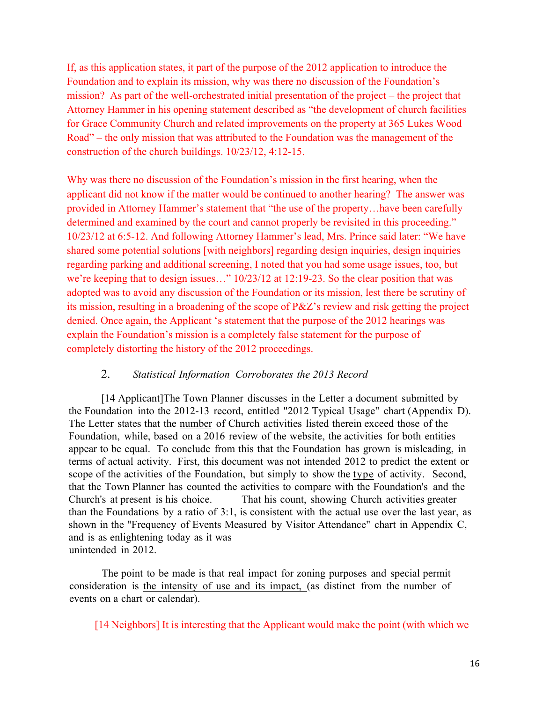If, as this application states, it part of the purpose of the 2012 application to introduce the Foundation and to explain its mission, why was there no discussion of the Foundation's mission? As part of the well-orchestrated initial presentation of the project – the project that Attorney Hammer in his opening statement described as "the development of church facilities for Grace Community Church and related improvements on the property at 365 Lukes Wood Road" – the only mission that was attributed to the Foundation was the management of the construction of the church buildings. 10/23/12, 4:12-15.

Why was there no discussion of the Foundation's mission in the first hearing, when the applicant did not know if the matter would be continued to another hearing? The answer was provided in Attorney Hammer's statement that "the use of the property…have been carefully determined and examined by the court and cannot properly be revisited in this proceeding." 10/23/12 at 6:5-12. And following Attorney Hammer's lead, Mrs. Prince said later: "We have shared some potential solutions [with neighbors] regarding design inquiries, design inquiries regarding parking and additional screening, I noted that you had some usage issues, too, but we're keeping that to design issues…" 10/23/12 at 12:19-23. So the clear position that was adopted was to avoid any discussion of the Foundation or its mission, lest there be scrutiny of its mission, resulting in a broadening of the scope of P&Z's review and risk getting the project denied. Once again, the Applicant 's statement that the purpose of the 2012 hearings was explain the Foundation's mission is a completely false statement for the purpose of completely distorting the history of the 2012 proceedings.

#### 2. *Statistical Information Corroborates the 2013 Record*

[14 Applicant]The Town Planner discusses in the Letter a document submitted by the Foundation into the 2012-13 record, entitled "2012 Typical Usage" chart (Appendix D). The Letter states that the number of Church activities listed therein exceed those of the Foundation, while, based on a 2016 review of the website, the activities for both entities appear to be equal. To conclude from this that the Foundation has grown is misleading, in terms of actual activity. First, this document was not intended 2012 to predict the extent or scope of the activities of the Foundation, but simply to show the type of activity. Second, that the Town Planner has counted the activities to compare with the Foundation's and the Church's at present is his choice. That his count, showing Church activities greater than the Foundations by a ratio of 3:1, is consistent with the actual use over the last year, as shown in the "Frequency of Events Measured by Visitor Attendance" chart in Appendix C, and is as enlightening today as it was unintended in 2012.

The point to be made is that real impact for zoning purposes and special permit consideration is the intensity of use and its impact, (as distinct from the number of events on a chart or calendar).

[14 Neighbors] It is interesting that the Applicant would make the point (with which we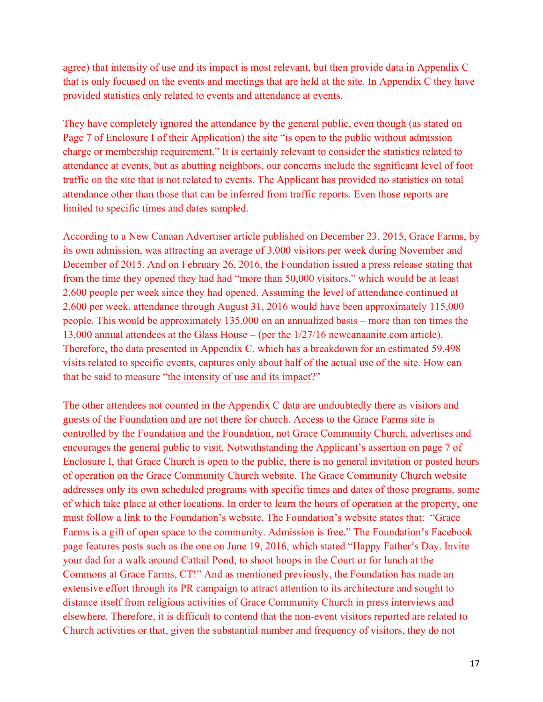agree) that intensity of use and its impact is most relevant, but then provide data in Appendix C that is only focused on the events and meetings that are held at the site. In Appendix C they have provided statistics only related to events and attendance at events.

They have completely ignored the attendance by the general public, even though (as stated on Page 7 of Enclosure I of their Application) the site "is open to the public without admission charge or membership requirement." It is certainly relevant to consider the statistics related to attendance at events, but as abutting neighbors, our concerns include the significant level of foot traffic on the site that is not related to events. The Applicant has provided no statistics on total attendance other than those that can be inferred from traffic reports. Even those reports are limited to specific times and dates sampled.

According to a New Canaan Advertiser article published on December 23, 2015, Grace Farms, by its own admission, was attracting an average of 3,000 visitors per week during November and December of 2015. And on February 26, 2016, the Foundation issued a press release stating that from the time they opened they had had "more than 50,000 visitors," which would be at least 2,600 people per week since they had opened. Assuming the level of attendance continued at 2,600 per week, attendance through August 31, 2016 would have been approximately 115,000 people. This would be approximately 135,000 on an annualized basis – more than ten times the 13,000 annual attendees at the Glass House – (per the 1/27/16 newcanaanite.com article). Therefore, the data presented in Appendix C, which has a breakdown for an estimated 59,498 visits related to specific events, captures only about half of the actual use of the site. How can that be said to measure "the intensity of use and its impact?"

The other attendees not counted in the Appendix C data are undoubtedly there as visitors and guests of the Foundation and are not there for church. Access to the Grace Farms site is controlled by the Foundation and the Foundation, not Grace Community Church, advertises and encourages the general public to visit. Notwithstanding the Applicant's assertion on page 7 of Enclosure I, that Grace Church is open to the public, there is no general invitation or posted hours of operation on the Grace Community Church website. The Grace Community Church website addresses only its own scheduled programs with specific times and dates of those programs, some of which take place at other locations. In order to learn the hours of operation at the property, one must follow a link to the Foundation's website. The Foundation's website states that: "Grace Farms is a gift of open space to the community. Admission is free." The Foundation's Facebook page features posts such as the one on June 19, 2016, which stated "Happy Father's Day. Invite your dad for a walk around Cattail Pond, to shoot hoops in the Court or for lunch at the Commons at Grace Farms, CT!" And as mentioned previously, the Foundation has made an extensive effort through its PR campaign to attract attention to its architecture and sought to distance itself from religious activities of Grace Community Church in press interviews and elsewhere. Therefore, it is difficult to contend that the non-event visitors reported are related to Church activities or that, given the substantial number and frequency of visitors, they do not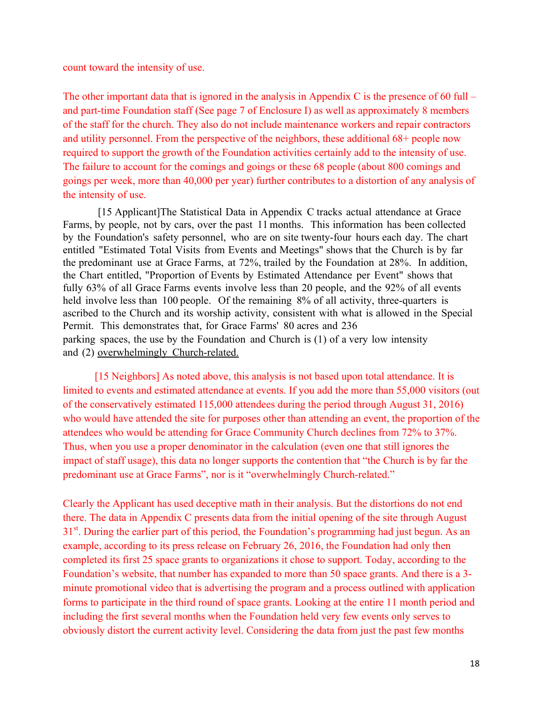count toward the intensity of use.

The other important data that is ignored in the analysis in Appendix C is the presence of 60 full  $$ and part-time Foundation staff (See page 7 of Enclosure I) as well as approximately 8 members of the staff for the church. They also do not include maintenance workers and repair contractors and utility personnel. From the perspective of the neighbors, these additional 68+ people now required to support the growth of the Foundation activities certainly add to the intensity of use. The failure to account for the comings and goings or these 68 people (about 800 comings and goings per week, more than 40,000 per year) further contributes to a distortion of any analysis of the intensity of use.

[15 Applicant]The Statistical Data in Appendix C tracks actual attendance at Grace Farms, by people, not by cars, over the past 11 months. This information has been collected by the Foundation's safety personnel, who are on site twenty-four hours each day. The chart entitled "Estimated Total Visits from Events and Meetings" shows that the Church is by far the predominant use at Grace Farms, at 72%, trailed by the Foundation at 28%. In addition, the Chart entitled, "Proportion of Events by Estimated Attendance per Event" shows that fully 63% of all Grace Farms events involve less than 20 people, and the 92% of all events held involve less than 100 people. Of the remaining 8% of all activity, three-quarters is ascribed to the Church and its worship activity, consistent with what is allowed in the Special Permit. This demonstrates that, for Grace Farms' 80 acres and 236 parking spaces, the use by the Foundation and Church is (1) of a very low intensity and (2) overwhelmingly Church-related.

[15 Neighbors] As noted above, this analysis is not based upon total attendance. It is limited to events and estimated attendance at events. If you add the more than 55,000 visitors (out of the conservatively estimated 115,000 attendees during the period through August 31, 2016) who would have attended the site for purposes other than attending an event, the proportion of the attendees who would be attending for Grace Community Church declines from 72% to 37%. Thus, when you use a proper denominator in the calculation (even one that still ignores the impact of staff usage), this data no longer supports the contention that "the Church is by far the predominant use at Grace Farms", nor is it "overwhelmingly Church-related."

Clearly the Applicant has used deceptive math in their analysis. But the distortions do not end there. The data in Appendix C presents data from the initial opening of the site through August 31<sup>st</sup>. During the earlier part of this period, the Foundation's programming had just begun. As an example, according to its press release on February 26, 2016, the Foundation had only then completed its first 25 space grants to organizations it chose to support. Today, according to the Foundation's website, that number has expanded to more than 50 space grants. And there is a 3 minute promotional video that is advertising the program and a process outlined with application forms to participate in the third round of space grants. Looking at the entire 11 month period and including the first several months when the Foundation held very few events only serves to obviously distort the current activity level. Considering the data from just the past few months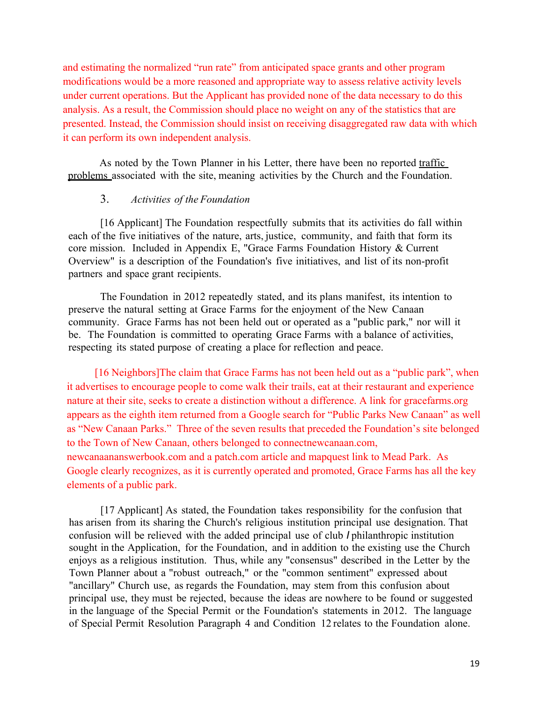and estimating the normalized "run rate" from anticipated space grants and other program modifications would be a more reasoned and appropriate way to assess relative activity levels under current operations. But the Applicant has provided none of the data necessary to do this analysis. As a result, the Commission should place no weight on any of the statistics that are presented. Instead, the Commission should insist on receiving disaggregated raw data with which it can perform its own independent analysis.

As noted by the Town Planner in his Letter, there have been no reported traffic problems associated with the site, meaning activities by the Church and the Foundation.

#### 3. *Activities of the Foundation*

[16 Applicant] The Foundation respectfully submits that its activities do fall within each of the five initiatives of the nature, arts, justice, community, and faith that form its core mission. Included in Appendix E, "Grace Farms Foundation History & Current Overview" is a description of the Foundation's five initiatives, and list of its non-profit partners and space grant recipients.

The Foundation in 2012 repeatedly stated, and its plans manifest, its intention to preserve the natural setting at Grace Farms for the enjoyment of the New Canaan community. Grace Farms has not been held out or operated as a "public park," nor will it be. The Foundation is committed to operating Grace Farms with a balance of activities, respecting its stated purpose of creating a place for reflection and peace.

[16 Neighbors]The claim that Grace Farms has not been held out as a "public park", when it advertises to encourage people to come walk their trails, eat at their restaurant and experience nature at their site, seeks to create a distinction without a difference. A link for gracefarms.org appears as the eighth item returned from a Google search for "Public Parks New Canaan" as well as "New Canaan Parks." Three of the seven results that preceded the Foundation's site belonged to the Town of New Canaan, others belonged to connectnewcanaan.com, newcanaananswerbook.com and a patch.com article and mapquest link to Mead Park. As Google clearly recognizes, as it is currently operated and promoted, Grace Farms has all the key elements of a public park.

[17 Applicant] As stated, the Foundation takes responsibility for the confusion that has arisen from its sharing the Church's religious institution principal use designation. That confusion will be relieved with the added principal use of club *I* philanthropic institution sought in the Application, for the Foundation, and in addition to the existing use the Church enjoys as a religious institution. Thus, while any "consensus" described in the Letter by the Town Planner about a "robust outreach," or the "common sentiment" expressed about "ancillary" Church use, as regards the Foundation, may stem from this confusion about principal use, they must be rejected, because the ideas are nowhere to be found or suggested in the language of the Special Permit or the Foundation's statements in 2012. The language of Special Permit Resolution Paragraph 4 and Condition 12 relates to the Foundation alone.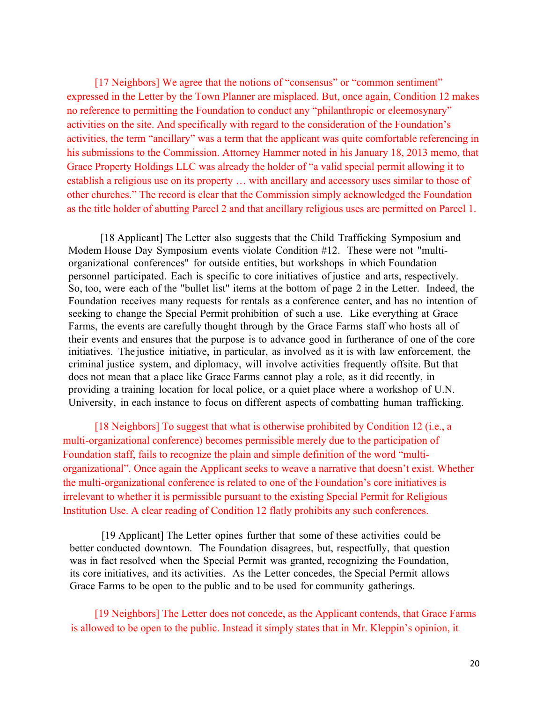[17 Neighbors] We agree that the notions of "consensus" or "common sentiment" expressed in the Letter by the Town Planner are misplaced. But, once again, Condition 12 makes no reference to permitting the Foundation to conduct any "philanthropic or eleemosynary" activities on the site. And specifically with regard to the consideration of the Foundation's activities, the term "ancillary" was a term that the applicant was quite comfortable referencing in his submissions to the Commission. Attorney Hammer noted in his January 18, 2013 memo, that Grace Property Holdings LLC was already the holder of "a valid special permit allowing it to establish a religious use on its property … with ancillary and accessory uses similar to those of other churches." The record is clear that the Commission simply acknowledged the Foundation as the title holder of abutting Parcel 2 and that ancillary religious uses are permitted on Parcel 1.

[18 Applicant] The Letter also suggests that the Child Trafficking Symposium and Modem House Day Symposium events violate Condition #12. These were not "multiorganizational conferences" for outside entities, but workshops in which Foundation personnel participated. Each is specific to core initiatives of justice and arts, respectively. So, too, were each of the "bullet list" items at the bottom of page 2 in the Letter. Indeed, the Foundation receives many requests for rentals as a conference center, and has no intention of seeking to change the Special Permit prohibition of such a use. Like everything at Grace Farms, the events are carefully thought through by the Grace Farms staff who hosts all of their events and ensures that the purpose is to advance good in furtherance of one of the core initiatives. The justice initiative, in particular, as involved as it is with law enforcement, the criminal justice system, and diplomacy, will involve activities frequently offsite. But that does not mean that a place like Grace Farms cannot play a role, as it did recently, in providing a training location for local police, or a quiet place where a workshop of U.N. University, in each instance to focus on different aspects of combatting human trafficking.

[18 Neighbors] To suggest that what is otherwise prohibited by Condition 12 (i.e., a multi-organizational conference) becomes permissible merely due to the participation of Foundation staff, fails to recognize the plain and simple definition of the word "multiorganizational". Once again the Applicant seeks to weave a narrative that doesn't exist. Whether the multi-organizational conference is related to one of the Foundation's core initiatives is irrelevant to whether it is permissible pursuant to the existing Special Permit for Religious Institution Use. A clear reading of Condition 12 flatly prohibits any such conferences.

[19 Applicant] The Letter opines further that some of these activities could be better conducted downtown. The Foundation disagrees, but, respectfully, that question was in fact resolved when the Special Permit was granted, recognizing the Foundation, its core initiatives, and its activities. As the Letter concedes, the Special Permit allows Grace Farms to be open to the public and to be used for community gatherings.

[19 Neighbors] The Letter does not concede, as the Applicant contends, that Grace Farms is allowed to be open to the public. Instead it simply states that in Mr. Kleppin's opinion, it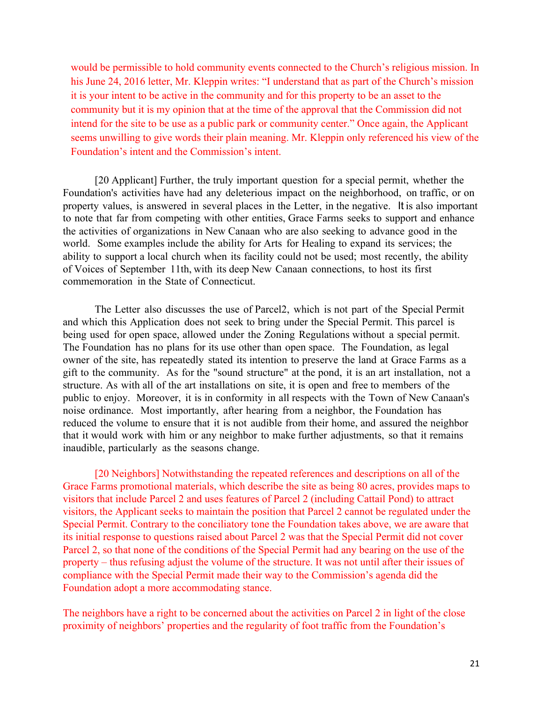would be permissible to hold community events connected to the Church's religious mission. In his June 24, 2016 letter, Mr. Kleppin writes: "I understand that as part of the Church's mission it is your intent to be active in the community and for this property to be an asset to the community but it is my opinion that at the time of the approval that the Commission did not intend for the site to be use as a public park or community center." Once again, the Applicant seems unwilling to give words their plain meaning. Mr. Kleppin only referenced his view of the Foundation's intent and the Commission's intent.

[20 Applicant] Further, the truly important question for a special permit, whether the Foundation's activities have had any deleterious impact on the neighborhood, on traffic, or on property values, is answered in several places in the Letter, in the negative. It is also important to note that far from competing with other entities, Grace Farms seeks to support and enhance the activities of organizations in New Canaan who are also seeking to advance good in the world. Some examples include the ability for Arts for Healing to expand its services; the ability to support a local church when its facility could not be used; most recently, the ability of Voices of September 11th, with its deep New Canaan connections, to host its first commemoration in the State of Connecticut.

The Letter also discusses the use of Parcel2, which is not part of the Special Permit and which this Application does not seek to bring under the Special Permit. This parcel is being used for open space, allowed under the Zoning Regulations without a special permit. The Foundation has no plans for its use other than open space. The Foundation, as legal owner of the site, has repeatedly stated its intention to preserve the land at Grace Farms as a gift to the community. As for the "sound structure" at the pond, it is an art installation, not a structure. As with all of the art installations on site, it is open and free to members of the public to enjoy. Moreover, it is in conformity in all respects with the Town of New Canaan's noise ordinance. Most importantly, after hearing from a neighbor, the Foundation has reduced the volume to ensure that it is not audible from their home, and assured the neighbor that it would work with him or any neighbor to make further adjustments, so that it remains inaudible, particularly as the seasons change.

[20 Neighbors] Notwithstanding the repeated references and descriptions on all of the Grace Farms promotional materials, which describe the site as being 80 acres, provides maps to visitors that include Parcel 2 and uses features of Parcel 2 (including Cattail Pond) to attract visitors, the Applicant seeks to maintain the position that Parcel 2 cannot be regulated under the Special Permit. Contrary to the conciliatory tone the Foundation takes above, we are aware that its initial response to questions raised about Parcel 2 was that the Special Permit did not cover Parcel 2, so that none of the conditions of the Special Permit had any bearing on the use of the property – thus refusing adjust the volume of the structure. It was not until after their issues of compliance with the Special Permit made their way to the Commission's agenda did the Foundation adopt a more accommodating stance.

The neighbors have a right to be concerned about the activities on Parcel 2 in light of the close proximity of neighbors' properties and the regularity of foot traffic from the Foundation's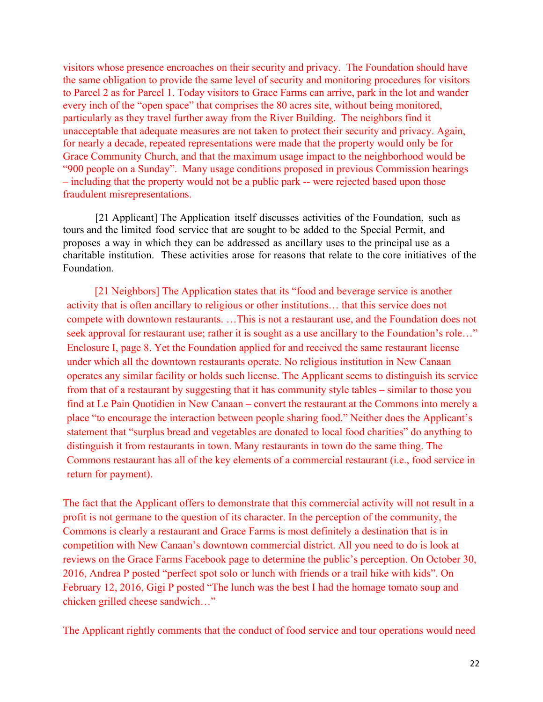visitors whose presence encroaches on their security and privacy. The Foundation should have the same obligation to provide the same level of security and monitoring procedures for visitors to Parcel 2 as for Parcel 1. Today visitors to Grace Farms can arrive, park in the lot and wander every inch of the "open space" that comprises the 80 acres site, without being monitored, particularly as they travel further away from the River Building. The neighbors find it unacceptable that adequate measures are not taken to protect their security and privacy. Again, for nearly a decade, repeated representations were made that the property would only be for Grace Community Church, and that the maximum usage impact to the neighborhood would be "900 people on a Sunday". Many usage conditions proposed in previous Commission hearings – including that the property would not be a public park -- were rejected based upon those fraudulent misrepresentations.

[21 Applicant] The Application itself discusses activities of the Foundation, such as tours and the limited food service that are sought to be added to the Special Permit, and proposes a way in which they can be addressed as ancillary uses to the principal use as a charitable institution. These activities arose for reasons that relate to the core initiatives of the Foundation.

[21 Neighbors] The Application states that its "food and beverage service is another activity that is often ancillary to religious or other institutions… that this service does not compete with downtown restaurants. …This is not a restaurant use, and the Foundation does not seek approval for restaurant use; rather it is sought as a use ancillary to the Foundation's role..." Enclosure I, page 8. Yet the Foundation applied for and received the same restaurant license under which all the downtown restaurants operate. No religious institution in New Canaan operates any similar facility or holds such license. The Applicant seems to distinguish its service from that of a restaurant by suggesting that it has community style tables – similar to those you find at Le Pain Quotidien in New Canaan – convert the restaurant at the Commons into merely a place "to encourage the interaction between people sharing food." Neither does the Applicant's statement that "surplus bread and vegetables are donated to local food charities" do anything to distinguish it from restaurants in town. Many restaurants in town do the same thing. The Commons restaurant has all of the key elements of a commercial restaurant (i.e., food service in return for payment).

The fact that the Applicant offers to demonstrate that this commercial activity will not result in a profit is not germane to the question of its character. In the perception of the community, the Commons is clearly a restaurant and Grace Farms is most definitely a destination that is in competition with New Canaan's downtown commercial district. All you need to do is look at reviews on the Grace Farms Facebook page to determine the public's perception. On October 30, 2016, Andrea P posted "perfect spot solo or lunch with friends or a trail hike with kids". On February 12, 2016, Gigi P posted "The lunch was the best I had the homage tomato soup and chicken grilled cheese sandwich…"

The Applicant rightly comments that the conduct of food service and tour operations would need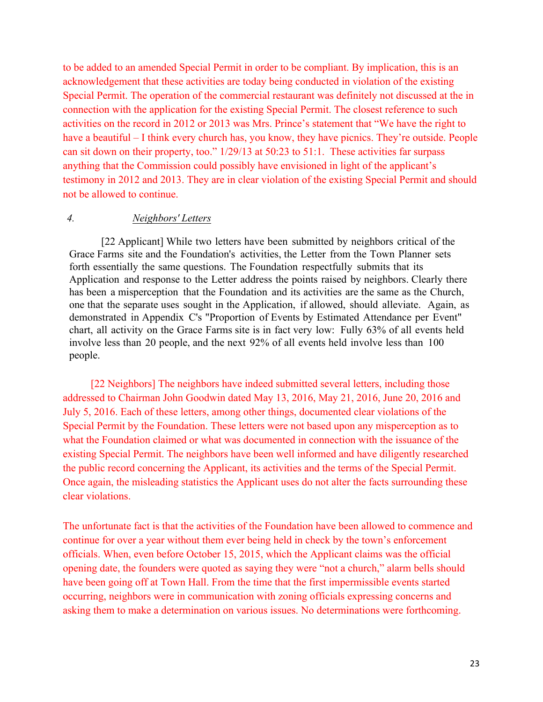to be added to an amended Special Permit in order to be compliant. By implication, this is an acknowledgement that these activities are today being conducted in violation of the existing Special Permit. The operation of the commercial restaurant was definitely not discussed at the in connection with the application for the existing Special Permit. The closest reference to such activities on the record in 2012 or 2013 was Mrs. Prince's statement that "We have the right to have a beautiful – I think every church has, you know, they have picnics. They're outside. People can sit down on their property, too." 1/29/13 at 50:23 to 51:1. These activities far surpass anything that the Commission could possibly have envisioned in light of the applicant's testimony in 2012 and 2013. They are in clear violation of the existing Special Permit and should not be allowed to continue.

#### *4. Neighbors' Letters*

[22 Applicant] While two letters have been submitted by neighbors critical of the Grace Farms site and the Foundation's activities, the Letter from the Town Planner sets forth essentially the same questions. The Foundation respectfully submits that its Application and response to the Letter address the points raised by neighbors. Clearly there has been a misperception that the Foundation and its activities are the same as the Church, one that the separate uses sought in the Application, if allowed, should alleviate. Again, as demonstrated in Appendix C's "Proportion of Events by Estimated Attendance per Event" chart, all activity on the Grace Farms site is in fact very low: Fully 63% of all events held involve less than 20 people, and the next 92% of all events held involve less than 100 people.

[22 Neighbors] The neighbors have indeed submitted several letters, including those addressed to Chairman John Goodwin dated May 13, 2016, May 21, 2016, June 20, 2016 and July 5, 2016. Each of these letters, among other things, documented clear violations of the Special Permit by the Foundation. These letters were not based upon any misperception as to what the Foundation claimed or what was documented in connection with the issuance of the existing Special Permit. The neighbors have been well informed and have diligently researched the public record concerning the Applicant, its activities and the terms of the Special Permit. Once again, the misleading statistics the Applicant uses do not alter the facts surrounding these clear violations.

The unfortunate fact is that the activities of the Foundation have been allowed to commence and continue for over a year without them ever being held in check by the town's enforcement officials. When, even before October 15, 2015, which the Applicant claims was the official opening date, the founders were quoted as saying they were "not a church," alarm bells should have been going off at Town Hall. From the time that the first impermissible events started occurring, neighbors were in communication with zoning officials expressing concerns and asking them to make a determination on various issues. No determinations were forthcoming.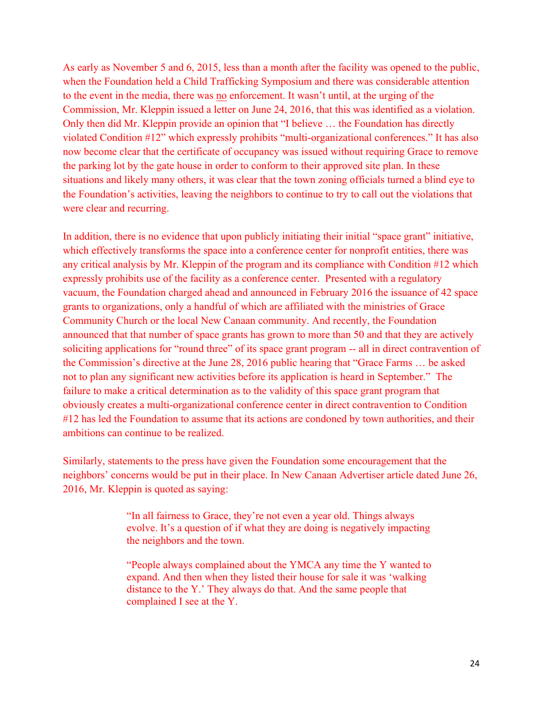As early as November 5 and 6, 2015, less than a month after the facility was opened to the public, when the Foundation held a Child Trafficking Symposium and there was considerable attention to the event in the media, there was no enforcement. It wasn't until, at the urging of the Commission, Mr. Kleppin issued a letter on June 24, 2016, that this was identified as a violation. Only then did Mr. Kleppin provide an opinion that "I believe … the Foundation has directly violated Condition #12" which expressly prohibits "multi-organizational conferences." It has also now become clear that the certificate of occupancy was issued without requiring Grace to remove the parking lot by the gate house in order to conform to their approved site plan. In these situations and likely many others, it was clear that the town zoning officials turned a blind eye to the Foundation's activities, leaving the neighbors to continue to try to call out the violations that were clear and recurring.

In addition, there is no evidence that upon publicly initiating their initial "space grant" initiative, which effectively transforms the space into a conference center for nonprofit entities, there was any critical analysis by Mr. Kleppin of the program and its compliance with Condition #12 which expressly prohibits use of the facility as a conference center. Presented with a regulatory vacuum, the Foundation charged ahead and announced in February 2016 the issuance of 42 space grants to organizations, only a handful of which are affiliated with the ministries of Grace Community Church or the local New Canaan community. And recently, the Foundation announced that that number of space grants has grown to more than 50 and that they are actively soliciting applications for "round three" of its space grant program -- all in direct contravention of the Commission's directive at the June 28, 2016 public hearing that "Grace Farms … be asked not to plan any significant new activities before its application is heard in September." The failure to make a critical determination as to the validity of this space grant program that obviously creates a multi-organizational conference center in direct contravention to Condition #12 has led the Foundation to assume that its actions are condoned by town authorities, and their ambitions can continue to be realized.

Similarly, statements to the press have given the Foundation some encouragement that the neighbors' concerns would be put in their place. In New Canaan Advertiser article dated June 26, 2016, Mr. Kleppin is quoted as saying:

> "In all fairness to Grace, they're not even a year old. Things always evolve. It's a question of if what they are doing is negatively impacting the neighbors and the town.

> "People always complained about the YMCA any time the Y wanted to expand. And then when they listed their house for sale it was 'walking distance to the Y.' They always do that. And the same people that complained I see at the Y.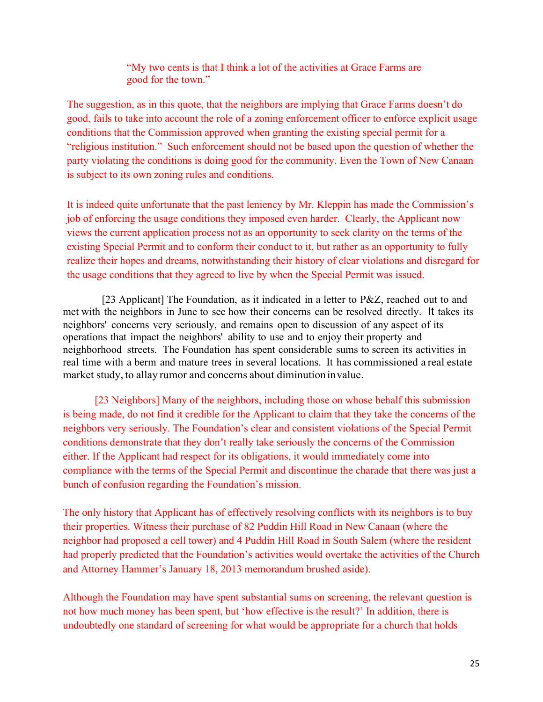"My two cents is that I think a lot of the activities at Grace Farms are good for the town."

The suggestion, as in this quote, that the neighbors are implying that Grace Farms doesn't do good, fails to take into account the role of a zoning enforcement officer to enforce explicit usage conditions that the Commission approved when granting the existing special permit for a "religious institution." Such enforcement should not be based upon the question of whether the party violating the conditions is doing good for the community. Even the Town of New Canaan is subject to its own zoning rules and conditions.

It is indeed quite unfortunate that the past leniency by Mr. Kleppin has made the Commission's job of enforcing the usage conditions they imposed even harder. Clearly, the Applicant now views the current application process not as an opportunity to seek clarity on the terms of the existing Special Permit and to conform their conduct to it, but rather as an opportunity to fully realize their hopes and dreams, notwithstanding their history of clear violations and disregard for the usage conditions that they agreed to live by when the Special Permit was issued.

[23 Applicant] The Foundation, as it indicated in a letter to P&Z, reached out to and met with the neighbors in June to see how their concerns can be resolved directly. It takes its neighbors' concerns very seriously, and remains open to discussion of any aspect of its operations that impact the neighbors' ability to use and to enjoy their property and neighborhood streets. The Foundation has spent considerable sums to screen its activities in real time with a berm and mature trees in several locations. It has commissioned a real estate market study, to allay rumor and concerns about diminution invalue.

[23 Neighbors] Many of the neighbors, including those on whose behalf this submission is being made, do not find it credible for the Applicant to claim that they take the concerns of the neighbors very seriously. The Foundation's clear and consistent violations of the Special Permit conditions demonstrate that they don't really take seriously the concerns of the Commission either. If the Applicant had respect for its obligations, it would immediately come into compliance with the terms of the Special Permit and discontinue the charade that there was just a bunch of confusion regarding the Foundation's mission.

The only history that Applicant has of effectively resolving conflicts with its neighbors is to buy their properties. Witness their purchase of 82 Puddin Hill Road in New Canaan (where the neighbor had proposed a cell tower) and 4 Puddin Hill Road in South Salem (where the resident had properly predicted that the Foundation's activities would overtake the activities of the Church and Attorney Hammer's January 18, 2013 memorandum brushed aside).

Although the Foundation may have spent substantial sums on screening, the relevant question is not how much money has been spent, but 'how effective is the result?' In addition, there is undoubtedly one standard of screening for what would be appropriate for a church that holds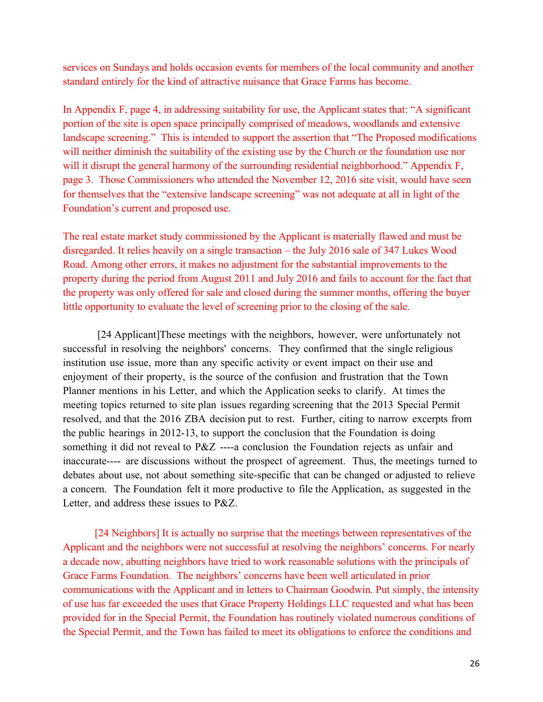services on Sundays and holds occasion events for members of the local community and another standard entirely for the kind of attractive nuisance that Grace Farms has become.

In Appendix F, page 4, in addressing suitability for use, the Applicant states that: "A significant portion of the site is open space principally comprised of meadows, woodlands and extensive landscape screening." This is intended to support the assertion that "The Proposed modifications will neither diminish the suitability of the existing use by the Church or the foundation use nor will it disrupt the general harmony of the surrounding residential neighborhood." Appendix F, page 3. Those Commissioners who attended the November 12, 2016 site visit, would have seen for themselves that the "extensive landscape screening" was not adequate at all in light of the Foundation's current and proposed use.

The real estate market study commissioned by the Applicant is materially flawed and must be disregarded. It relies heavily on a single transaction – the July 2016 sale of 347 Lukes Wood Road. Among other errors, it makes no adjustment for the substantial improvements to the property during the period from August 2011 and July 2016 and fails to account for the fact that the property was only offered for sale and closed during the summer months, offering the buyer little opportunity to evaluate the level of screening prior to the closing of the sale.

[24 Applicant]These meetings with the neighbors, however, were unfortunately not successful in resolving the neighbors' concerns. They confirmed that the single religious institution use issue, more than any specific activity or event impact on their use and enjoyment of their property, is the source of the confusion and frustration that the Town Planner mentions in his Letter, and which the Application seeks to clarify. At times the meeting topics returned to site plan issues regarding screening that the 2013 Special Permit resolved, and that the 2016 ZBA decision put to rest. Further, citing to narrow excerpts from the public hearings in 2012-13, to support the conclusion that the Foundation is doing something it did not reveal to P&Z ----a conclusion the Foundation rejects as unfair and inaccurate---- are discussions without the prospect of agreement. Thus, the meetings turned to debates about use, not about something site-specific that can be changed or adjusted to relieve a concern. The Foundation felt it more productive to file the Application, as suggested in the Letter, and address these issues to P&Z.

[24 Neighbors] It is actually no surprise that the meetings between representatives of the Applicant and the neighbors were not successful at resolving the neighbors' concerns. For nearly a decade now, abutting neighbors have tried to work reasonable solutions with the principals of Grace Farms Foundation. The neighbors' concerns have been well articulated in prior communications with the Applicant and in letters to Chairman Goodwin. Put simply, the intensity of use has far exceeded the uses that Grace Property Holdings LLC requested and what has been provided for in the Special Permit, the Foundation has routinely violated numerous conditions of the Special Permit, and the Town has failed to meet its obligations to enforce the conditions and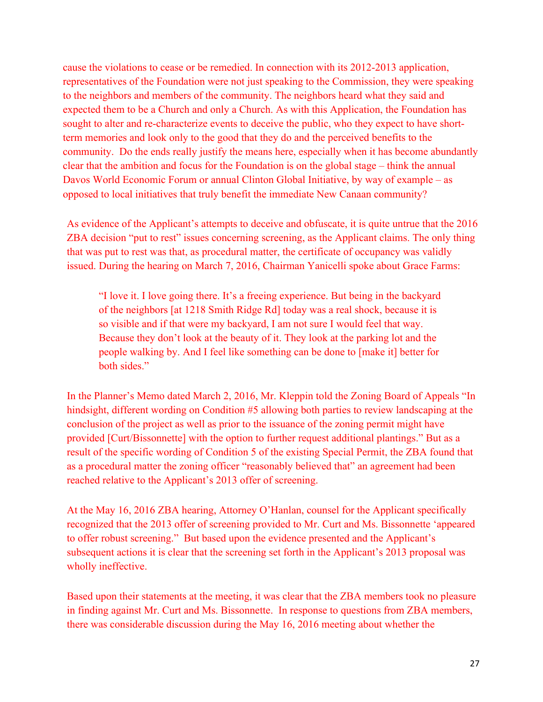cause the violations to cease or be remedied. In connection with its 2012-2013 application, representatives of the Foundation were not just speaking to the Commission, they were speaking to the neighbors and members of the community. The neighbors heard what they said and expected them to be a Church and only a Church. As with this Application, the Foundation has sought to alter and re-characterize events to deceive the public, who they expect to have shortterm memories and look only to the good that they do and the perceived benefits to the community. Do the ends really justify the means here, especially when it has become abundantly clear that the ambition and focus for the Foundation is on the global stage – think the annual Davos World Economic Forum or annual Clinton Global Initiative, by way of example – as opposed to local initiatives that truly benefit the immediate New Canaan community?

As evidence of the Applicant's attempts to deceive and obfuscate, it is quite untrue that the 2016 ZBA decision "put to rest" issues concerning screening, as the Applicant claims. The only thing that was put to rest was that, as procedural matter, the certificate of occupancy was validly issued. During the hearing on March 7, 2016, Chairman Yanicelli spoke about Grace Farms:

"I love it. I love going there. It's a freeing experience. But being in the backyard of the neighbors [at 1218 Smith Ridge Rd] today was a real shock, because it is so visible and if that were my backyard, I am not sure I would feel that way. Because they don't look at the beauty of it. They look at the parking lot and the people walking by. And I feel like something can be done to [make it] better for both sides."

In the Planner's Memo dated March 2, 2016, Mr. Kleppin told the Zoning Board of Appeals "In hindsight, different wording on Condition #5 allowing both parties to review landscaping at the conclusion of the project as well as prior to the issuance of the zoning permit might have provided [Curt/Bissonnette] with the option to further request additional plantings." But as a result of the specific wording of Condition 5 of the existing Special Permit, the ZBA found that as a procedural matter the zoning officer "reasonably believed that" an agreement had been reached relative to the Applicant's 2013 offer of screening.

At the May 16, 2016 ZBA hearing, Attorney O'Hanlan, counsel for the Applicant specifically recognized that the 2013 offer of screening provided to Mr. Curt and Ms. Bissonnette 'appeared to offer robust screening." But based upon the evidence presented and the Applicant's subsequent actions it is clear that the screening set forth in the Applicant's 2013 proposal was wholly ineffective.

Based upon their statements at the meeting, it was clear that the ZBA members took no pleasure in finding against Mr. Curt and Ms. Bissonnette. In response to questions from ZBA members, there was considerable discussion during the May 16, 2016 meeting about whether the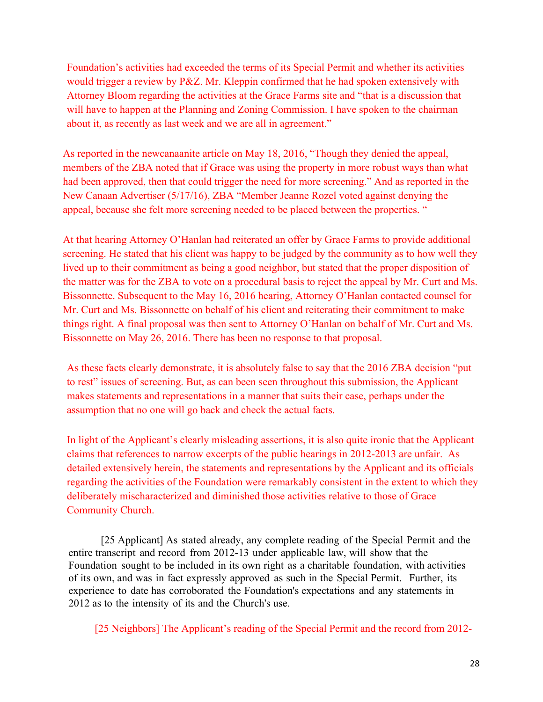Foundation's activities had exceeded the terms of its Special Permit and whether its activities would trigger a review by P&Z. Mr. Kleppin confirmed that he had spoken extensively with Attorney Bloom regarding the activities at the Grace Farms site and "that is a discussion that will have to happen at the Planning and Zoning Commission. I have spoken to the chairman about it, as recently as last week and we are all in agreement."

As reported in the newcanaanite article on May 18, 2016, "Though they denied the appeal, members of the ZBA noted that if Grace was using the property in more robust ways than what had been approved, then that could trigger the need for more screening." And as reported in the New Canaan Advertiser (5/17/16), ZBA "Member Jeanne Rozel voted against denying the appeal, because she felt more screening needed to be placed between the properties. "

At that hearing Attorney O'Hanlan had reiterated an offer by Grace Farms to provide additional screening. He stated that his client was happy to be judged by the community as to how well they lived up to their commitment as being a good neighbor, but stated that the proper disposition of the matter was for the ZBA to vote on a procedural basis to reject the appeal by Mr. Curt and Ms. Bissonnette. Subsequent to the May 16, 2016 hearing, Attorney O'Hanlan contacted counsel for Mr. Curt and Ms. Bissonnette on behalf of his client and reiterating their commitment to make things right. A final proposal was then sent to Attorney O'Hanlan on behalf of Mr. Curt and Ms. Bissonnette on May 26, 2016. There has been no response to that proposal.

As these facts clearly demonstrate, it is absolutely false to say that the 2016 ZBA decision "put to rest" issues of screening. But, as can been seen throughout this submission, the Applicant makes statements and representations in a manner that suits their case, perhaps under the assumption that no one will go back and check the actual facts.

In light of the Applicant's clearly misleading assertions, it is also quite ironic that the Applicant claims that references to narrow excerpts of the public hearings in 2012-2013 are unfair. As detailed extensively herein, the statements and representations by the Applicant and its officials regarding the activities of the Foundation were remarkably consistent in the extent to which they deliberately mischaracterized and diminished those activities relative to those of Grace Community Church.

[25 Applicant] As stated already, any complete reading of the Special Permit and the entire transcript and record from 2012-13 under applicable law, will show that the Foundation sought to be included in its own right as a charitable foundation, with activities of its own, and was in fact expressly approved as such in the Special Permit. Further, its experience to date has corroborated the Foundation's expectations and any statements in 2012 as to the intensity of its and the Church's use.

[25 Neighbors] The Applicant's reading of the Special Permit and the record from 2012-